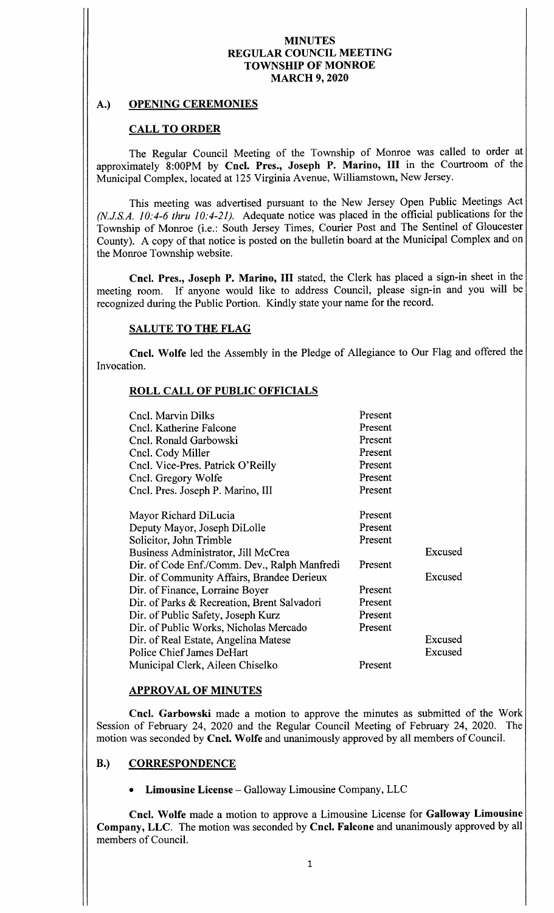## **MINUTES** REGULAR COUNCIL MEETING TOWNSHIP OF MONROE MARCH 9, 2020

## A.) OPENING CEREMONIES

## CALL TO ORDER

The Regular Council Meeting of the Township of Monroe was called to order at approximately 8:00PM by Cncl. Pres., Joseph P. Marino, III in the Courtroom of the Municipal Complex, located at 125 Virginia Avenue, Williamstown, New Jersey.

This meeting was advertised pursuant to the New Jersey Open Public Meetings Act (N.J.S.A. 10:4-6 thru 10:4-21). Adequate notice was placed in the official publications for the Township of Monroe (i.e.: South Jersey Times, Courier Post and The Sentinel of Gloucester County). A copy of that notice is posted on the bulletin board at the Municipal Complex and on the Monroe Township website.

Cncl. Pres., Joseph P. Marino, III stated, the Clerk has placed a sign-in sheet in the meeting room. If anyone would like to address Council, please sign-in and you will be recognized during the Public Portion. Kindly state your name for the record.

## SALUTE TO THE FLAG

Cncl. Wolfe led the Assembly in the Pledge of Allegiance to Our Flag and offered the Invocation.

## ROLL CALL OF PUBLIC OFFICIALS

| Cncl. Marvin Dilks<br>Cncl. Katherine Falcone<br>Cncl. Ronald Garbowski<br>Cncl. Cody Miller<br>Cncl. Vice-Pres. Patrick O'Reilly<br>Cncl. Gregory Wolfe<br>Cncl. Pres. Joseph P. Marino, III | Present<br>Present<br>Present<br>Present<br>Present<br>Present<br>Present |         |
|-----------------------------------------------------------------------------------------------------------------------------------------------------------------------------------------------|---------------------------------------------------------------------------|---------|
| Mayor Richard DiLucia                                                                                                                                                                         | Present                                                                   |         |
| Deputy Mayor, Joseph DiLolle                                                                                                                                                                  | Present                                                                   |         |
| Solicitor, John Trimble                                                                                                                                                                       | Present                                                                   |         |
| Business Administrator, Jill McCrea                                                                                                                                                           |                                                                           | Excused |
| Dir. of Code Enf./Comm. Dev., Ralph Manfredi                                                                                                                                                  | Present                                                                   |         |
| Dir. of Community Affairs, Brandee Derieux                                                                                                                                                    |                                                                           | Excused |
| Dir. of Finance, Lorraine Boyer                                                                                                                                                               | Present                                                                   |         |
| Dir. of Parks & Recreation, Brent Salvadori                                                                                                                                                   | Present                                                                   |         |
| Dir. of Public Safety, Joseph Kurz                                                                                                                                                            | Present                                                                   |         |
| Dir. of Public Works, Nicholas Mercado                                                                                                                                                        | Present                                                                   |         |
| Dir. of Real Estate, Angelina Matese                                                                                                                                                          |                                                                           | Excused |
| Police Chief James DeHart                                                                                                                                                                     |                                                                           | Excused |
| Municipal Clerk, Aileen Chiselko                                                                                                                                                              | Present                                                                   |         |

#### APPROVAL OF MINUTES

Cncl. Garbowski made <sup>a</sup> motion to approve the minutes as submitted of the Work Session of February 24, 2020 and the Regular Council Meeting of February 24, 2020. The motion was seconded by Cncl. Wolfe and unanimously approved by all members of Council.

# B.) CORRESPONDENCE

#### Limousine License— Galloway Limousine Company, LLC

Cncl. Wolfe made a motion to approve a Limousine License for Galloway Limousine Company, LLC. The motion was seconded by Cncl. Falcone and unanimously approved by all members of Council.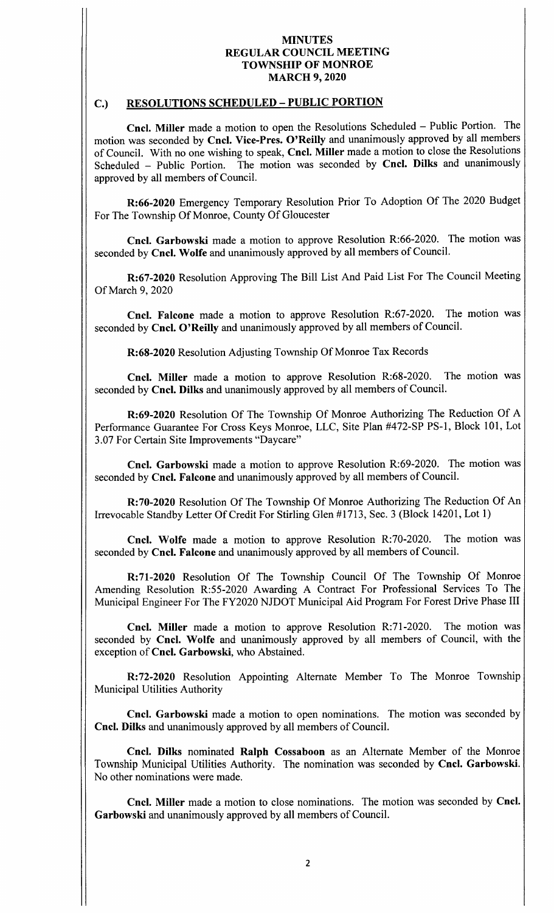## MINUTES REGULAR COUNCIL MEETING TOWNSHIP OF MONROE MARCH 9, 2020

# C.) RESOLUTIONS SCHEDULED— PUBLIC PORTION

Cncl. Miller made <sup>a</sup> motion to open the Resolutions Scheduled — Public Portion. The motion was seconded by Cncl. Vice-Pres. O'Reilly and unanimously approved by all members of Council. With no one wishing to speak, Cncl. Miller made a motion to close the Resolutions<br>Scheduled – Public Portion. The motion was seconded by Cncl. Dilks and unanimously The motion was seconded by Cncl. Dilks and unanimously approved by all members of Council.

R: 66-2020 Emergency Temporary Resolution Prior To Adoption Of The 2020 Budget For The Township Of Monroe, County Of Gloucester

Cncl. Garbowski made a motion to approve Resolution R:66-2020. The motion was seconded by Cncl. Wolfe and unanimously approved by all members of Council.

R: 67-2020 Resolution Approving The Bill List And Paid List For The Council Meeting Of March 9, 2020

Cncl. Falcone made a motion to approve Resolution R:67-2020. The motion was seconded by Cncl. O'Reilly and unanimously approved by all members of Council.

R: 68- 2020 Resolution Adjusting Township Of Monroe Tax Records

Cncl. Miller made a motion to approve Resolution R:68-2020. The motion was seconded by Cncl. Dilks and unanimously approved by all members of Council.

R:69-2020 Resolution Of The Township Of Monroe Authorizing The Reduction Of A Performance Guarantee For Cross Keys Monroe, LLC, Site Plan #472-SP PS-1, Block 101, Lot 3. 07 For Certain Site Improvements " Daycare"

Cncl. Garbowski made a motion to approve Resolution R:69-2020. The motion was seconded by Cncl. Falcone and unanimously approved by all members of Council.

R:70-2020 Resolution Of The Township Of Monroe Authorizing The Reduction Of An Irrevocable Standby Letter Of Credit For Stirling Glen #1713, Sec. 3 (Block 14201, Lot 1)

Cncl. Wolfe made a motion to approve Resolution R:70-2020. The motion was seconded by Cncl. Falcone and unanimously approved by all members of Council.

R: 71-2020 Resolution Of The Township Council Of The Township Of Monroe Amending Resolution R:55-2020 Awarding A Contract For Professional Services To The Municipal Engineer For The FY2020 NJDOT Municipal Aid Program For Forest Drive Phase III

Cncl. Miller made a motion to approve Resolution R:71-2020. The motion was seconded by Cncl. Wolfe and unanimously approved by all members of Council, with the exception of Cncl. Garbowski, who Abstained.

R: 72-2020 Resolution Appointing Alternate Member To The Monroe Township Municipal Utilities Authority

Cncl. Garbowski made <sup>a</sup> motion to open nominations. The motion was seconded by Cncl. Dilks and unanimously approved by all members of Council.

Cncl. Dilks nominated Ralph Cossaboon as an Alternate Member of the Monroe Township Municipal Utilities Authority. The nomination was seconded by Cncl. Garbowski. No other nominations were made.

Cncl. Miller made <sup>a</sup> motion to close nominations. The motion was seconded by Cncl. Garbowski and unanimously approved by all members of Council.